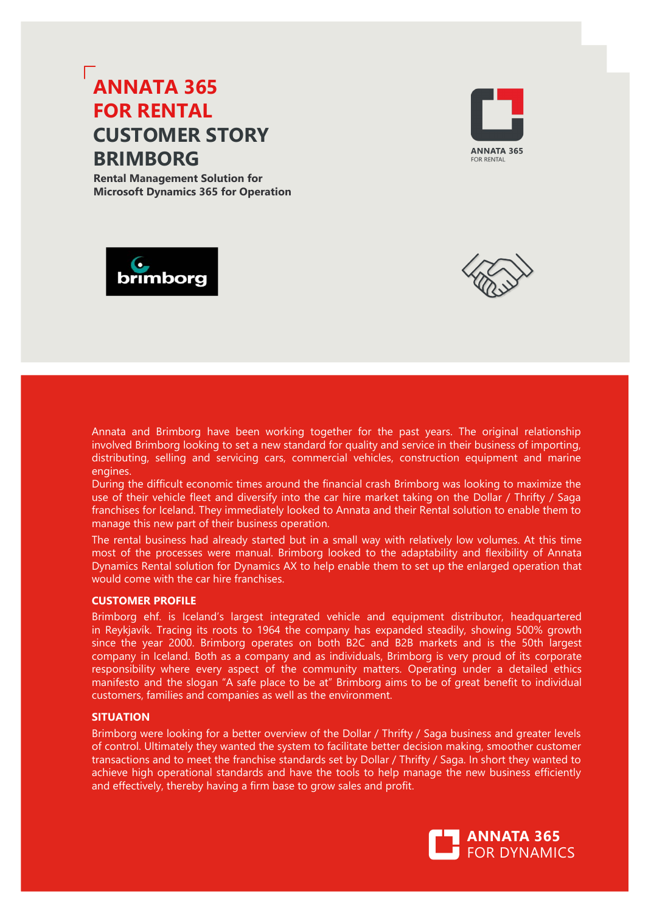# **ANNATA 365 FOR DEALER CUSTOMER STORY BRIMBORG**

**Dealer Management Solution for Microsoft Dynamics 365 for Operation**







Brimborg wanted to set a new standard for quality and service in their business of importing, distributing, selling and servicing cars, commercial vehicles, construction equipment and power engines. Their strategy: enable staff with the best possible tools to continuously provide customers with superior value.

With Annata Dynamics DMS, all processes concerning importing, distributing, selling and servicing the equipment are more efficient and updated insight into the business is readily available for all relevant staff both on screen in user forms, analytical tools and in reports. This brings positive results to Brimborg's bottom line and gives the company a true competitive advantage.

### **CUSTOMER PROFILE**

Brimborg ehf. is Iceland's largest integrated vehicle and equipment distributor, headquartered in Reykjavík. Tracing its roots to 1964 the company has expanded steadily, showing 500% growth since the year 2000. Brimborg operates on both B2C and B2B markets and is the 50th largest company in Iceland. Both as a company and as individuals, Brimborg is very proud of its corporate responsibility where every aspect of the community matters. Operating under a detailed ethics manifesto and the slogan "A safe place to be at" Brimborg aims to be of great benefit to individual customers, -families and companies as well as the environment.

## **SITUATION**

Brimborg had been running their business in an AS-400 based system since 1986 but found it becoming restraining for further growth and the aim to build more flexible organization. The AS-400 based system was built up as three different systems; one for service workshops; one for part sales and one for vehicles and heavy machinery sales along with the finance module. The company ran three different customer systems, with different discounts and credit limit in each system and sending out two or three statements per customer at month's end.